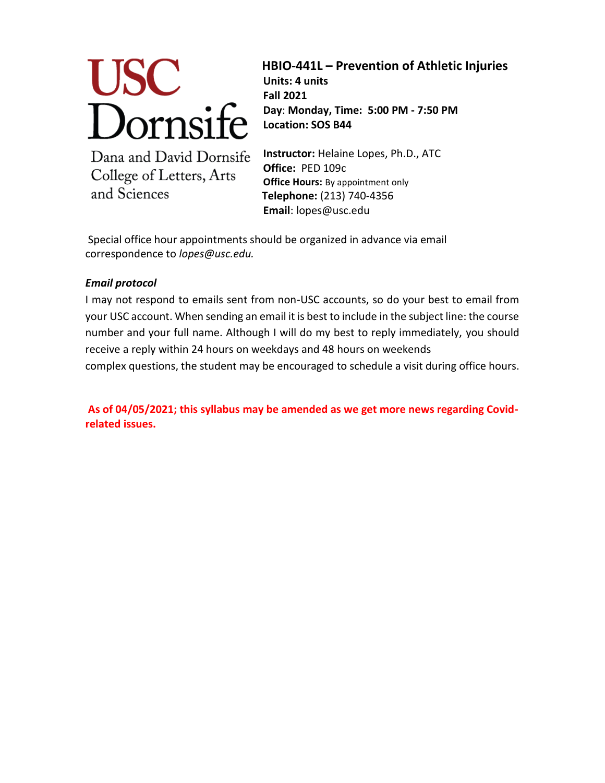

**HBIO-441L – Prevention of Athletic Injuries** 

**Units: 4 units Fall 2021 Day**: **Monday, Time: 5:00 PM - 7:50 PM Location: SOS B44**

Dana and David Dornsife College of Letters, Arts and Sciences

**Instructor:** Helaine Lopes, Ph.D., ATC **Office:** PED 109c **Office Hours:** By appointment only **Telephone:** (213) 740-4356 **Email**: lopes@usc.edu

Special office hour appointments should be organized in advance via email correspondence to *lopes@usc.edu.*

# *Email protocol*

I may not respond to emails sent from non-USC accounts, so do your best to email from your USC account. When sending an email it is best to include in the subject line: the course number and your full name. Although I will do my best to reply immediately, you should receive a reply within 24 hours on weekdays and 48 hours on weekends complex questions, the student may be encouraged to schedule a visit during office hours.

**As of 04/05/2021; this syllabus may be amended as we get more news regarding Covidrelated issues.**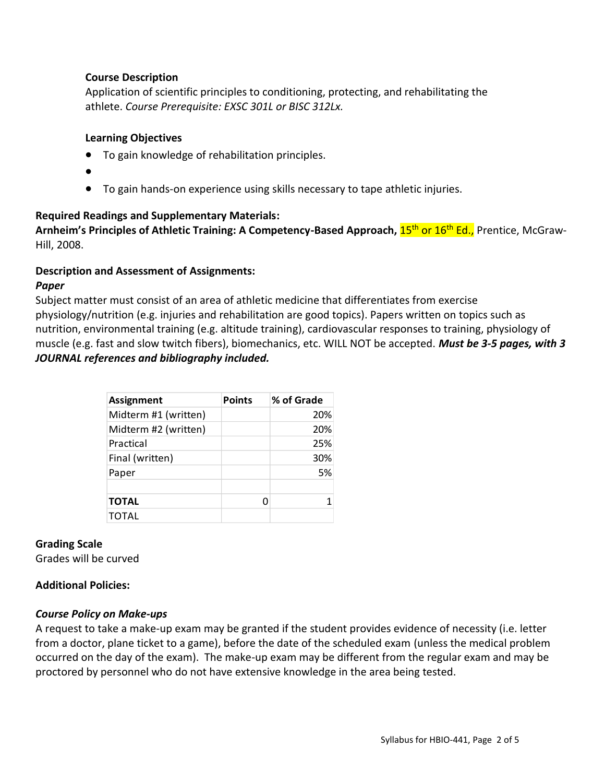## **Course Description**

Application of scientific principles to conditioning, protecting, and rehabilitating the athlete. *Course Prerequisite: EXSC 301L or BISC 312Lx.* 

## **Learning Objectives**

- To gain knowledge of rehabilitation principles.
- $\bullet$
- To gain hands-on experience using skills necessary to tape athletic injuries.

## **Required Readings and Supplementary Materials:**

**Arnheim's Principles of Athletic Training: A Competency-Based Approach, <mark>15<sup>th</sup> or 16<sup>th</sup> Ed.,</mark> Prentice, McGraw-**Hill, 2008.

## **Description and Assessment of Assignments:**

## *Paper*

Subject matter must consist of an area of athletic medicine that differentiates from exercise physiology/nutrition (e.g. injuries and rehabilitation are good topics). Papers written on topics such as nutrition, environmental training (e.g. altitude training), cardiovascular responses to training, physiology of muscle (e.g. fast and slow twitch fibers), biomechanics, etc. WILL NOT be accepted. *Must be 3-5 pages, with 3 JOURNAL references and bibliography included.*

| <b>Assignment</b>    | <b>Points</b> | % of Grade |
|----------------------|---------------|------------|
| Midterm #1 (written) |               | 20%        |
| Midterm #2 (written) |               | 20%        |
| Practical            |               | 25%        |
| Final (written)      |               | 30%        |
| Paper                |               | 5%         |
|                      |               |            |
| <b>TOTAL</b>         |               |            |
| TOTAL                |               |            |

# **Grading Scale**

Grades will be curved

# **Additional Policies:**

## *Course Policy on Make-ups*

A request to take a make-up exam may be granted if the student provides evidence of necessity (i.e. letter from a doctor, plane ticket to a game), before the date of the scheduled exam (unless the medical problem occurred on the day of the exam). The make-up exam may be different from the regular exam and may be proctored by personnel who do not have extensive knowledge in the area being tested.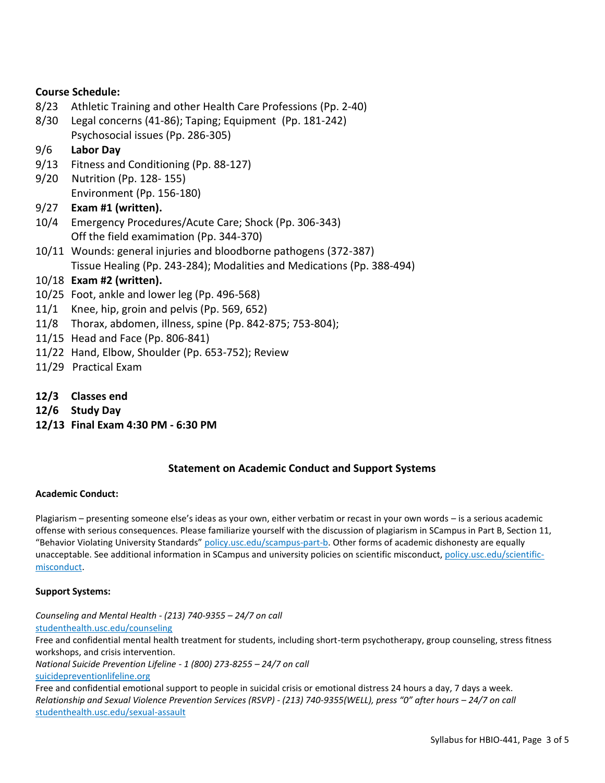## **Course Schedule:**

- 8/23 Athletic Training and other Health Care Professions (Pp. 2-40)
- 8/30 Legal concerns (41-86); Taping; Equipment (Pp. 181-242) Psychosocial issues (Pp. 286-305)

## 9/6 **Labor Day**

- 9/13 Fitness and Conditioning (Pp. 88-127)
- 9/20 Nutrition (Pp. 128- 155) Environment (Pp. 156-180)
- 9/27 **Exam #1 (written).**
- 10/4 Emergency Procedures/Acute Care; Shock (Pp. 306-343) Off the field examimation (Pp. 344-370)
- 10/11 Wounds: general injuries and bloodborne pathogens (372-387) Tissue Healing (Pp. 243-284); Modalities and Medications (Pp. 388-494)

## 10/18 **Exam #2 (written).**

- 10/25 Foot, ankle and lower leg (Pp. 496-568)
- 11/1 Knee, hip, groin and pelvis (Pp. 569, 652)
- 11/8 Thorax, abdomen, illness, spine (Pp. 842-875; 753-804);
- 11/15 Head and Face (Pp. 806-841)
- 11/22 Hand, Elbow, Shoulder (Pp. 653-752); Review
- 11/29 Practical Exam
- **12/3 Classes end**
- **12/6 Study Day**
- **12/13 Final Exam 4:30 PM - 6:30 PM**

## **Statement on Academic Conduct and Support Systems**

### **Academic Conduct:**

Plagiarism – presenting someone else's ideas as your own, either verbatim or recast in your own words – is a serious academic offense with serious consequences. Please familiarize yourself with the discussion of plagiarism in SCampus in Part B, Section 11, "Behavior Violating University Standards" [policy.usc.edu/scampus-part-b.](https://policy.usc.edu/scampus-part-b/) Other forms of academic dishonesty are equally unacceptable. See additional information in SCampus and university policies on scientific misconduct[, policy.usc.edu/scientific](http://policy.usc.edu/scientific-misconduct)[misconduct.](http://policy.usc.edu/scientific-misconduct)

### **Support Systems:**

*Counseling and Mental Health - (213) 740-9355 – 24/7 on call* [studenthealth.usc.edu/counseling](https://studenthealth.usc.edu/counseling/) Free and confidential mental health treatment for students, including short-term psychotherapy, group counseling, stress fitness workshops, and crisis intervention. *National Suicide Prevention Lifeline - 1 (800) 273-8255 – 24/7 on call* [suicidepreventionlifeline.org](http://www.suicidepreventionlifeline.org/) Free and confidential emotional support to people in suicidal crisis or emotional distress 24 hours a day, 7 days a week. *Relationship and Sexual Violence Prevention Services (RSVP) - (213) 740-9355(WELL), press "0" after hours – 24/7 on call* [studenthealth.usc.edu/sexual-assault](https://studenthealth.usc.edu/sexual-assault/)